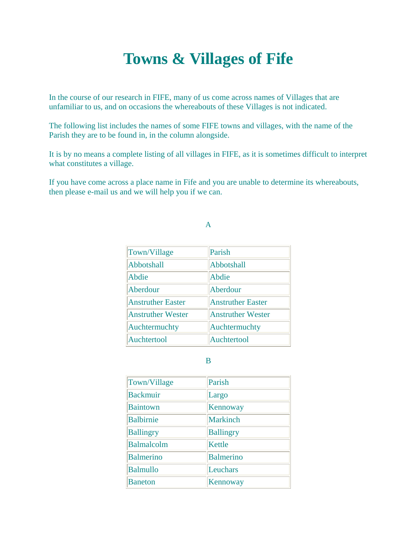# **Towns & Villages of Fife**

In the course of our research in FIFE, many of us come across names of Villages that are unfamiliar to us, and on occasions the whereabouts of these Villages is not indicated.

The following list includes the names of some FIFE towns and villages, with the name of the Parish they are to be found in, in the column alongside.

It is by no means a complete listing of all villages in FIFE, as it is sometimes difficult to interpret what constitutes a village.

If you have come across a place name in Fife and you are unable to determine its whereabouts, then please e-mail us and we will help you if we can.

#### A

| Town/Village             | Parish                   |
|--------------------------|--------------------------|
| Abbotshall               | Abbotshall               |
| Abdie                    | Abdie                    |
| Aberdour                 | Aberdour                 |
| <b>Anstruther Easter</b> | <b>Anstruther Easter</b> |
| <b>Anstruther Wester</b> | <b>Anstruther Wester</b> |
| Auchtermuchty            | Auchtermuchty            |
| Auchtertool              | Auchtertool              |

#### B

| Town/Village      | Parish           |
|-------------------|------------------|
| <b>Backmuir</b>   | Largo            |
| <b>Baintown</b>   | Kennoway         |
| <b>Balbirnie</b>  | <b>Markinch</b>  |
| <b>Ballingry</b>  | <b>Ballingry</b> |
| <b>Balmalcolm</b> | Kettle           |
| <b>Balmerino</b>  | <b>Balmerino</b> |
| <b>Balmullo</b>   | Leuchars         |
| <b>Baneton</b>    | Kennoway         |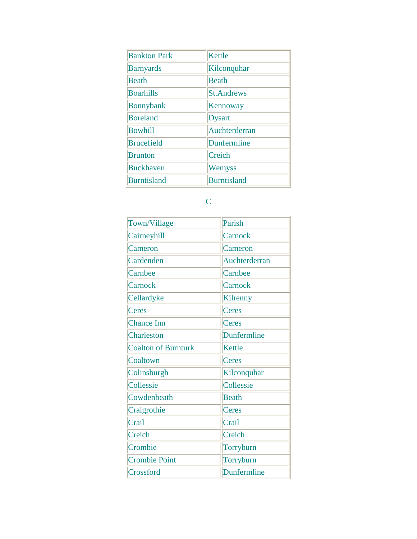| <b>Bankton Park</b> | <b>Kettle</b>      |
|---------------------|--------------------|
| <b>Barnyards</b>    | Kilconquhar        |
| <b>Beath</b>        | Beath              |
| <b>Boarhills</b>    | <b>St.Andrews</b>  |
| <b>Bonnybank</b>    | Kennoway           |
| <b>Boreland</b>     | <b>Dysart</b>      |
| <b>Bowhill</b>      | Auchterderran      |
| <b>Brucefield</b>   | Dunfermline        |
| <b>Brunton</b>      | Creich             |
| <b>Buckhaven</b>    | Wemyss             |
| <b>Burntisland</b>  | <b>Burntisland</b> |

# C

| Town/Village               | Parish        |
|----------------------------|---------------|
| Cairneyhill                | Carnock       |
| Cameron                    | Cameron       |
| Cardenden                  | Auchterderran |
| Carnbee                    | Carnbee       |
| Carnock                    | Carnock       |
| Cellardyke                 | Kilrenny      |
| Ceres                      | Ceres         |
| <b>Chance Inn</b>          | Ceres         |
| Charleston                 | Dunfermline   |
| <b>Coalton of Burnturk</b> | <b>Kettle</b> |
| Coaltown                   | Ceres         |
| Colinsburgh                | Kilconquhar   |
| Collessie                  | Collessie     |
| Cowdenbeath                | <b>Beath</b>  |
| Craigrothie                | Ceres         |
| Crail                      | Crail         |
| Creich                     | Creich        |
| Crombie                    | Torryburn     |
| <b>Crombie Point</b>       | Torryburn     |
| Crossford                  | Dunfermline   |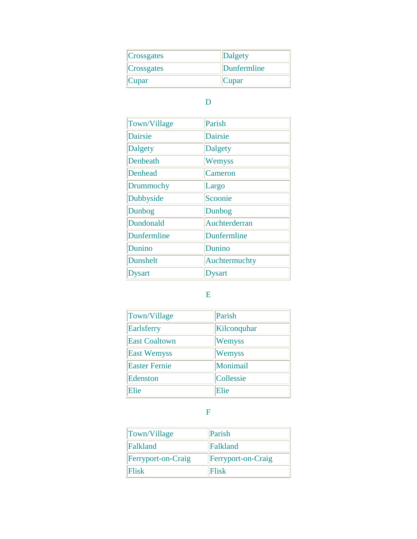| Crossgates | Dalgety     |
|------------|-------------|
| Crossgates | Dunfermline |
| Cupar      | Cupar       |

#### D

| Town/Village    | Parish         |
|-----------------|----------------|
| <b>Dairsie</b>  | Dairsie        |
| <b>Dalgety</b>  | <b>Dalgety</b> |
| Denbeath        | Wemyss         |
| Denhead         | Cameron        |
| Drummochy       | Largo          |
| Dubbyside       | Scoonie        |
| Dunbog          | Dunbog         |
| Dundonald       | Auchterderran  |
| Dunfermline     | Dunfermline    |
| Dunino          | Dunino         |
| <b>Dunshelt</b> | Auchtermuchty  |
| Dysart          | Dysart         |

### E

| Town/Village         | Parish      |
|----------------------|-------------|
| Earlsferry           | Kilconquhar |
| <b>East Coaltown</b> | Wemyss      |
| <b>East Wemyss</b>   | Wemyss      |
| <b>Easter Fernie</b> | Monimail    |
| Edenston             | Collessie   |
| Elie                 | Elie        |

F

| Town/Village       | Parish                    |
|--------------------|---------------------------|
| Falkland           | Falkland                  |
| Ferryport-on-Craig | <b>Ferryport-on-Craig</b> |
| <b>Flisk</b>       | Flisk                     |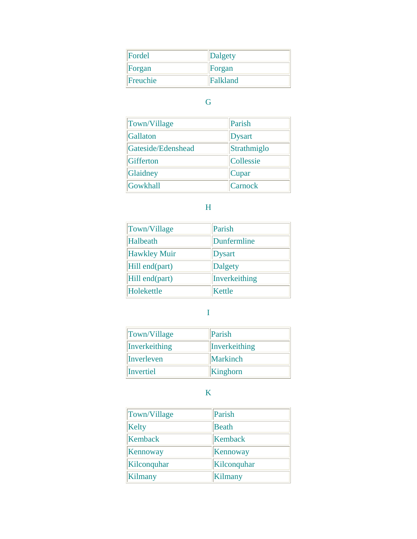| Fordel   | Dalgety  |
|----------|----------|
| Forgan   | Forgan   |
| Freuchie | Falkland |

# G

| Town/Village       | Parish        |
|--------------------|---------------|
| Gallaton           | <b>Dysart</b> |
| Gateside/Edenshead | Strathmiglo   |
| Gifferton          | Collessie     |
| Glaidney           | Cupar         |
| Gowkhall           | Carnock       |

### H

| Town/Village        | Parish         |
|---------------------|----------------|
| Halbeath            | Dunfermline    |
| <b>Hawkley Muir</b> | <b>Dysart</b>  |
| Hill end(part)      | <b>Dalgety</b> |
| Hill end(part)      | Inverkeithing  |
| Holekettle          | Kettle         |

#### I

| Town/Village  | Parish        |
|---------------|---------------|
| Inverkeithing | Inverkeithing |
| Inverleven    | Markinch      |
| Invertiel     | Kinghorn      |

### K

| Town/Village | Parish      |
|--------------|-------------|
| Kelty        | Beath       |
| Kemback      | Kemback     |
| Kennoway     | Kennoway    |
| Kilconquhar  | Kilconquhar |
| Kilmany      | Kilmany     |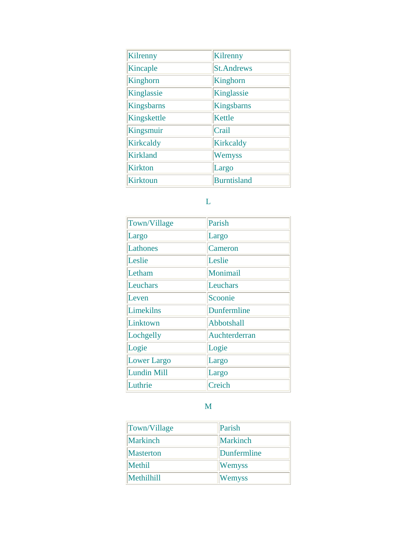| Kilrenny        | Kilrenny           |
|-----------------|--------------------|
| Kincaple        | <b>St.Andrews</b>  |
| Kinghorn        | Kinghorn           |
| Kinglassie      | Kinglassie         |
| Kingsbarns      | Kingsbarns         |
| Kingskettle     | Kettle             |
| Kingsmuir       | Crail              |
| Kirkcaldy       | Kirkcaldy          |
| <b>Kirkland</b> | Wemyss             |
| <b>Kirkton</b>  | Largo              |
| <b>Kirktoun</b> | <b>Burntisland</b> |

#### L

| Town/Village       | Parish        |
|--------------------|---------------|
| Largo              | Largo         |
| Lathones           | Cameron       |
| Leslie             | Leslie        |
| Letham             | Monimail      |
| Leuchars           | Leuchars      |
| Leven              | Scoonie       |
| Limekilns          | Dunfermline   |
| Linktown           | Abbotshall    |
| Lochgelly          | Auchterderran |
| Logie              | Logie         |
| Lower Largo        | Largo         |
| <b>Lundin Mill</b> | Largo         |
| Luthrie            | Creich        |

#### M

| Town/Village     | Parish        |
|------------------|---------------|
| Markinch         | Markinch      |
| <b>Masterton</b> | Dunfermline   |
| Methil           | <b>Wemyss</b> |
| Methilhill       | Wemyss        |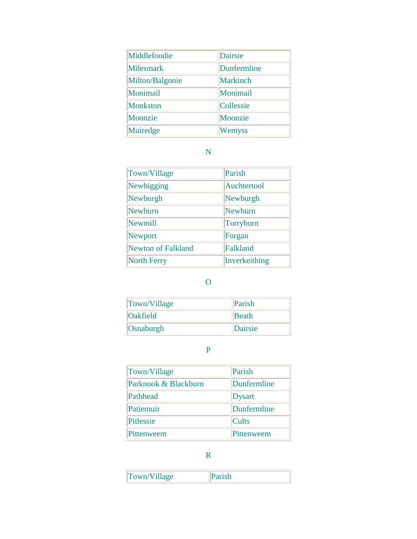| Middlefoodie     | <b>Dairsie</b>  |
|------------------|-----------------|
| <b>Milesmark</b> | Dunfermline     |
| Milton/Balgonie  | <b>Markinch</b> |
| Monimail         | Monimail        |
| <b>Monkston</b>  | Collessie       |
| Moonzie          | Moonzie         |
| Muiredge         | Wemyss          |

#### N

| Town/Village              | Parish        |
|---------------------------|---------------|
| Newbigging                | Auchtertool   |
| Newburgh                  | Newburgh      |
| Newburn                   | Newburn       |
| Newmill                   | Torryburn     |
| <b>Newport</b>            | Forgan        |
| <b>Newton of Falkland</b> | Falkland      |
| <b>North Ferry</b>        | Inverkeithing |

# O

| Town/Village    | <b>Parish</b> |
|-----------------|---------------|
| <b>Oakfield</b> | <b>Beath</b>  |
| Osnaburgh       | Dairsie       |

#### P

| Town/Village         | Parish       |
|----------------------|--------------|
| Parknook & Blackburn | Dunfermline  |
| Pathhead             | Dysart       |
| Patiemuir            | Dunfermline  |
| Pitlessie            | <b>Cults</b> |
| Pittenweem           | Pittenweem   |

R

| Town/Village |  |
|--------------|--|